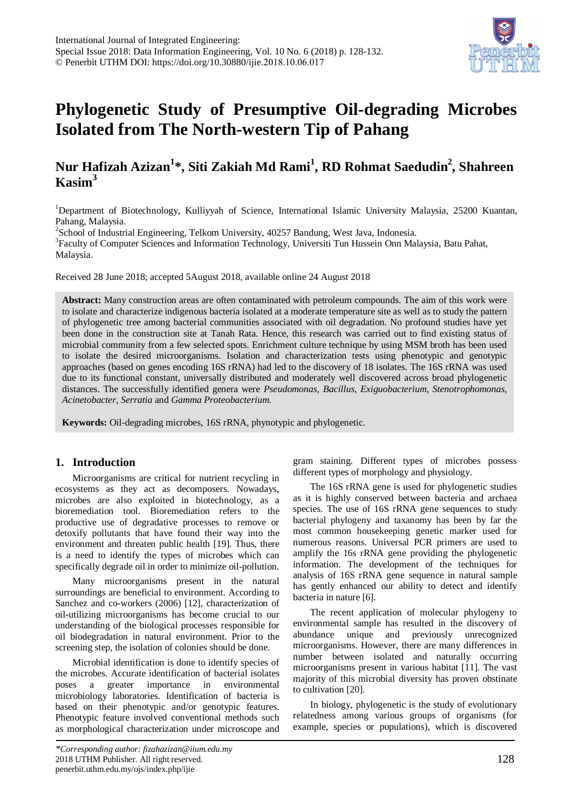# **Phylogenetic Study of Presumptive Oil-degrading Microbes Isolated from The North-western Tip of Pahang**

## **Nur Hafizah Azizan1 \*, Siti Zakiah Md Rami1 , RD Rohmat Saedudin2 , Shahreen Kasim3**

<sup>1</sup>Department of Biotechnology, Kulliyyah of Science, International Islamic University Malaysia, 25200 Kuantan, Pahang, Malaysia. 2

 $\textsuperscript{2}$ School of Industrial Engineering, Telkom University, 40257 Bandung, West Java, Indonesia.

<sup>3</sup>Faculty of Computer Sciences and Information Technology, Universiti Tun Hussein Onn Malaysia, Batu Pahat, Malaysia.

Received 28 June 2018; accepted 5August 2018, available online 24 August 2018

**Abstract:** Many construction areas are often contaminated with petroleum compounds. The aim of this work were to isolate and characterize indigenous bacteria isolated at a moderate temperature site as well as to study the pattern of phylogenetic tree among bacterial communities associated with oil degradation. No profound studies have yet been done in the construction site at Tanah Rata. Hence, this research was carried out to find existing status of microbial community from a few selected spots. Enrichment culture technique by using MSM broth has been used to isolate the desired microorganisms. Isolation and characterization tests using phenotypic and genotypic approaches (based on genes encoding 16S rRNA) had led to the discovery of 18 isolates. The 16S rRNA was used due to its functional constant, universally distributed and moderately well discovered across broad phylogenetic distances. The successfully identified genera were *Pseudomonas, Bacillus, Exiguobacterium, Stenotrophomonas, Acinetobacter, Serratia* and *Gamma Proteobacterium*.

**Keywords:** Oil-degrading microbes, 16S rRNA, phynotypic and phylogenetic.

## **1. Introduction**

Microorganisms are critical for nutrient recycling in ecosystems as they act as decomposers. Nowadays, microbes are also exploited in biotechnology, as a bioremediation tool. Bioremediation refers to the productive use of degradative processes to remove or detoxify pollutants that have found their way into the environment and threaten public health [19]. Thus, there is a need to identify the types of microbes which can specifically degrade oil in order to minimize oil-pollution.

Many microorganisms present in the natural surroundings are beneficial to environment. According to Sanchez and co-workers (2006) [12], characterization of oil-utilizing microorganisms has become crucial to our understanding of the biological processes responsible for oil biodegradation in natural environment. Prior to the screening step, the isolation of colonies should be done.

Microbial identification is done to identify species of the microbes. Accurate identification of bacterial isolates poses a greater importance in environmental microbiology laboratories. Identification of bacteria is based on their phenotypic and/or genotypic features. Phenotypic feature involved conventional methods such as morphological characterization under microscope and

*\*Corresponding author: fizahazizan@iium.edu.my* 2018 UTHM Publisher. All right reserved. penerbit.uthm.edu.my/ojs/index.php/ijie

gram staining. Different types of microbes possess different types of morphology and physiology.

The 16S rRNA gene is used for phylogenetic studies as it is highly conserved between bacteria and archaea species. The use of 16S rRNA gene sequences to study bacterial phylogeny and taxanomy has been by far the most common housekeeping genetic marker used for numerous reasons. Universal PCR primers are used to amplify the 16s rRNA gene providing the phylogenetic information. The development of the techniques for analysis of 16S rRNA gene sequence in natural sample has gently enhanced our ability to detect and identify bacteria in nature [6].

The recent application of molecular phylogeny to environmental sample has resulted in the discovery of abundance unique and previously unrecognized microorganisms. However, there are many differences in number between isolated and naturally occurring microorganisms present in various habitat [11]. The vast majority of this microbial diversity has proven obstinate to cultivation [20].

In biology, phylogenetic is the study of evolutionary relatedness among various groups of organisms (for example, species or populations), which is discovered

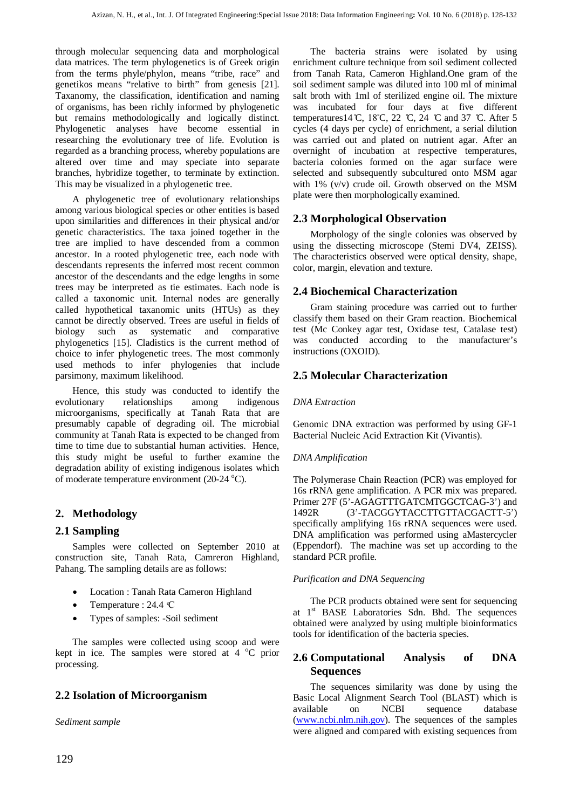through molecular sequencing data and morphological data matrices. The term phylogenetics is of Greek origin from the terms phyle/phylon, means "tribe, race" and genetikos means "relative to birth" from genesis [21]. Taxanomy, the classification, identification and naming of organisms, has been richly informed by phylogenetic but remains methodologically and logically distinct. Phylogenetic analyses have become essential in researching the evolutionary tree of life. Evolution is regarded as a branching process, whereby populations are altered over time and may speciate into separate branches, hybridize together, to terminate by extinction. This may be visualized in a phylogenetic tree.

A phylogenetic tree of evolutionary relationships among various biological species or other entities is based upon similarities and differences in their physical and/or genetic characteristics. The taxa joined together in the tree are implied to have descended from a common ancestor. In a rooted phylogenetic tree, each node with descendants represents the inferred most recent common ancestor of the descendants and the edge lengths in some trees may be interpreted as tie estimates. Each node is called a taxonomic unit. Internal nodes are generally called hypothetical taxanomic units (HTUs) as they cannot be directly observed. Trees are useful in fields of biology such as systematic and comparative phylogenetics [15]. Cladistics is the current method of choice to infer phylogenetic trees. The most commonly used methods to infer phylogenies that include parsimony, maximum likelihood.

Hence, this study was conducted to identify the evolutionary relationships among indigenous microorganisms, specifically at Tanah Rata that are presumably capable of degrading oil. The microbial community at Tanah Rata is expected to be changed from time to time due to substantial human activities. Hence, this study might be useful to further examine the degradation ability of existing indigenous isolates which of moderate temperature environment (20-24 °C).

## **2. Methodology**

## **2.1 Sampling**

Samples were collected on September 2010 at construction site, Tanah Rata, Camreron Highland, Pahang. The sampling details are as follows:

- Location : Tanah Rata Cameron Highland
- Temperature : 24.4 °C
- Types of samples: -Soil sediment

The samples were collected using scoop and were kept in ice. The samples were stored at  $4^{\circ}$ C prior processing.

## **2.2 Isolation of Microorganism**

*Sediment sample*

The bacteria strains were isolated by using enrichment culture technique from soil sediment collected from Tanah Rata, Cameron Highland.One gram of the soil sediment sample was diluted into 100 ml of minimal salt broth with 1ml of sterilized engine oil. The mixture was incubated for four days at five different temperatures 14 °C, 18°C, 22 °C, 24 °C and 37 °C. After 5 cycles (4 days per cycle) of enrichment, a serial dilution was carried out and plated on nutrient agar. After an overnight of incubation at respective temperatures, bacteria colonies formed on the agar surface were selected and subsequently subcultured onto MSM agar with 1% (v/v) crude oil. Growth observed on the MSM plate were then morphologically examined.

## **2.3 Morphological Observation**

Morphology of the single colonies was observed by using the dissecting microscope (Stemi DV4, ZEISS). The characteristics observed were optical density, shape, color, margin, elevation and texture.

## **2.4 Biochemical Characterization**

Gram staining procedure was carried out to further classify them based on their Gram reaction. Biochemical test (Mc Conkey agar test, Oxidase test, Catalase test) was conducted according to the manufacturer's instructions (OXOID).

## **2.5 Molecular Characterization**

#### *DNA Extraction*

Genomic DNA extraction was performed by using GF-1 Bacterial Nucleic Acid Extraction Kit (Vivantis).

#### *DNA Amplification*

The Polymerase Chain Reaction (PCR) was employed for 16s rRNA gene amplification. A PCR mix was prepared. Primer 27F (5'-AGAGTTTGATCMTGGCTCAG-3') and 1492R (3'-TACGGYTACCTTGTTACGACTT-5') specifically amplifying 16s rRNA sequences were used. DNA amplification was performed using aMastercycler (Eppendorf). The machine was set up according to the standard PCR profile.

#### *Purification and DNA Sequencing*

The PCR products obtained were sent for sequencing at 1<sup>st</sup> BASE Laboratories Sdn. Bhd. The sequences obtained were analyzed by using multiple bioinformatics tools for identification of the bacteria species.

## **2.6 Computational Analysis of DNA Sequences**

The sequences similarity was done by using the Basic Local Alignment Search Tool (BLAST) which is available on NCBI sequence database [\(www.ncbi.nlm.nih.gov\)](http://www.ncbi.nlm.nih.gov/). The sequences of the samples were aligned and compared with existing sequences from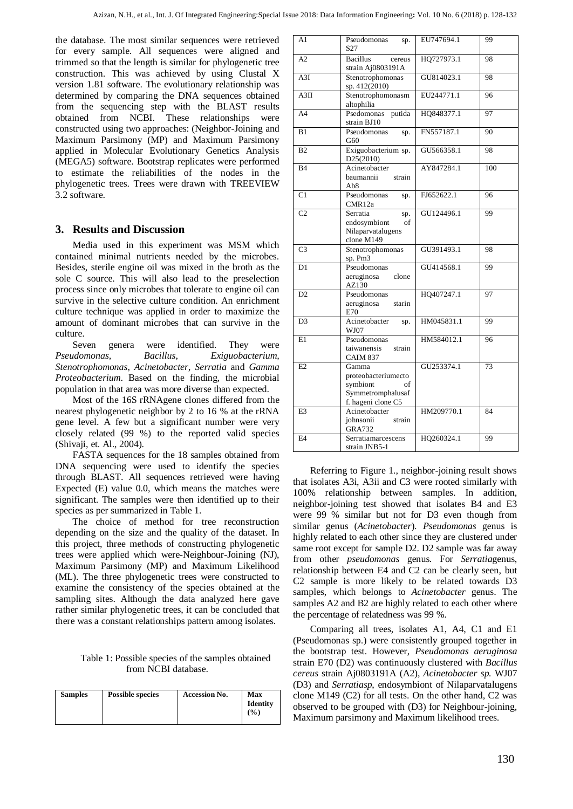the database. The most similar sequences were retrieved for every sample. All sequences were aligned and trimmed so that the length is similar for phylogenetic tree construction. This was achieved by using Clustal X version 1.81 software. The evolutionary relationship was determined by comparing the DNA sequences obtained from the sequencing step with the BLAST results obtained from NCBI. These relationships were constructed using two approaches: (Neighbor-Joining and Maximum Parsimony (MP) and Maximum Parsimony applied in Molecular Evolutionary Genetics Analysis (MEGA5) software. Bootstrap replicates were performed to estimate the reliabilities of the nodes in the phylogenetic trees. Trees were drawn with TREEVIEW 3.2 software.

## **3. Results and Discussion**

Media used in this experiment was MSM which contained minimal nutrients needed by the microbes. Besides, sterile engine oil was mixed in the broth as the sole C source. This will also lead to the preselection process since only microbes that tolerate to engine oil can survive in the selective culture condition. An enrichment culture technique was applied in order to maximize the amount of dominant microbes that can survive in the culture.

Seven genera were identified. They were *Pseudomonas, Bacillus*, *Exiguobacterium, Stenotrophomonas, Acinetobacter, Serratia* and *Gamma Proteobacterium*. Based on the finding, the microbial population in that area was more diverse than expected.

Most of the 16S rRNAgene clones differed from the nearest phylogenetic neighbor by 2 to 16 % at the rRNA gene level. A few but a significant number were very closely related (99 %) to the reported valid species (Shivaji, et. Al., 2004).

FASTA sequences for the 18 samples obtained from DNA sequencing were used to identify the species through BLAST. All sequences retrieved were having Expected (E) value 0.0, which means the matches were significant. The samples were then identified up to their species as per summarized in Table 1.

The choice of method for tree reconstruction depending on the size and the quality of the dataset. In this project, three methods of constructing phylogenetic trees were applied which were-Neighbour-Joining (NJ), Maximum Parsimony (MP) and Maximum Likelihood (ML). The three phylogenetic trees were constructed to examine the consistency of the species obtained at the sampling sites. Although the data analyzed here gave rather similar phylogenetic trees, it can be concluded that there was a constant relationships pattern among isolates.

Table 1: Possible species of the samples obtained from NCBI database.

| <b>Possible species</b> | <b>Accession No.</b> | Max<br><b>Identity</b><br>$($ %) |
|-------------------------|----------------------|----------------------------------|
|                         |                      |                                  |

| A <sub>1</sub>   | Pseudomonas<br>sp.<br>S <sub>27</sub>                                                     | EU747694.1 | 99  |
|------------------|-------------------------------------------------------------------------------------------|------------|-----|
| A2               | <b>Bacillus</b><br>cereus<br>strain Aj0803191A                                            | HQ727973.1 | 98  |
| $\overline{A3I}$ | Stenotrophomonas<br>sp. 412(2010)                                                         | GU814023.1 | 98  |
| A3II             | Stenotrophomonasm<br>altophilia                                                           | EU244771.1 | 96  |
| A <sub>4</sub>   | Psedomonas<br>putida<br>strain BJ10                                                       | HQ848377.1 | 97  |
| B1               | Pseudomonas<br>sp.<br>G60                                                                 | FN557187.1 | 90  |
| B <sub>2</sub>   | Exiguobacterium sp.<br>D25(2010)                                                          | GU566358.1 | 98  |
| <b>B4</b>        | Acinetobacter<br>baumannii<br>strain<br>Ab8                                               | AY847284.1 | 100 |
| $\overline{C}$   | Pseudomonas<br>sp.<br>CMR12a                                                              | FJ652622.1 | 96  |
| $\overline{C2}$  | Serratia<br>sp.<br>endosymbiont<br>of<br>Nilaparvatalugens<br>clone M149                  | GU124496.1 | 99  |
| $\overline{C}3$  | Stenotrophomonas<br>sp. Pm3                                                               | GU391493.1 | 98  |
| D <sub>1</sub>   | Pseudomonas<br>aeruginosa<br>clone<br>AZ130                                               | GU414568.1 | 99  |
| D2               | Pseudomonas<br>aeruginosa<br>starin<br>E70                                                | HQ407247.1 | 97  |
| D <sub>3</sub>   | Acinetobacter<br>sp.<br>WJ07                                                              | HM045831.1 | 99  |
| E1               | Pseudomonas<br>taiwanensis<br>strain<br><b>CAIM 837</b>                                   | HM584012.1 | 96  |
| E2               | Gamma<br>proteobacteriumecto<br>symbiont<br>of<br>Symmetromphalusaf<br>f. hageni clone C5 | GU253374.1 | 73  |
| E <sub>3</sub>   | Acinetobacter<br>johnsonii<br>strain<br><b>GRA732</b>                                     | HM209770.1 | 84  |
| E <sub>4</sub>   | Serratiamarcescens<br>strain JNB5-1                                                       | HQ260324.1 | 99  |

Referring to Figure 1., neighbor-joining result shows that isolates A3i, A3ii and C3 were rooted similarly with 100% relationship between samples. In addition, neighbor-joining test showed that isolates B4 and E3 were 99 % similar but not for D3 even though from similar genus (*Acinetobacter*). *Pseudomonas* genus is highly related to each other since they are clustered under same root except for sample D2. D2 sample was far away from other *pseudomonas* genus. For *Serratia*genus, relationship between E4 and C2 can be clearly seen, but C2 sample is more likely to be related towards D3 samples, which belongs to *Acinetobacter* genus. The samples A2 and B2 are highly related to each other where the percentage of relatedness was 99 %.

Comparing all trees, isolates A1, A4, C1 and E1 (Pseudomonas sp.) were consistently grouped together in the bootstrap test. However, *Pseudomonas aeruginosa* strain E70 (D2) was continuously clustered with *Bacillus cereus* strain Aj0803191A (A2), *Acinetobacter sp.* WJ07 (D3) and *Serratiasp*, endosymbiont of Nilaparvatalugens clone M149 (C2) for all tests. On the other hand, C2 was observed to be grouped with (D3) for Neighbour-joining, Maximum parsimony and Maximum likelihood trees.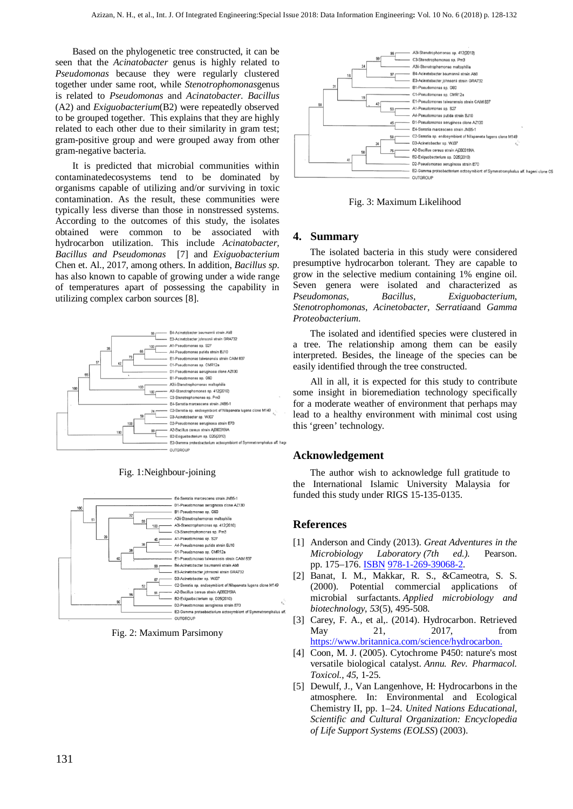Based on the phylogenetic tree constructed, it can be seen that the *Acinatobacter* genus is highly related to *Pseudomonas* because they were regularly clustered together under same root, while *Stenotrophomonas*genus is related to *Pseudomonas* and *Acinatobacter*. *Bacillus* (A2) and *Exiguobacterium*(B2) were repeatedly observed to be grouped together. This explains that they are highly related to each other due to their similarity in gram test; gram-positive group and were grouped away from other gram-negative bacteria.

It is predicted that microbial communities within contaminatedecosystems tend to be dominated by organisms capable of utilizing and/or surviving in toxic contamination. As the result, these communities were typically less diverse than those in nonstressed systems. According to the outcomes of this study, the isolates obtained were common to be associated with hydrocarbon utilization. This include *Acinatobacter, Bacillus and Pseudomonas* [7] and *Exiguobacterium* Chen et. Al., 2017, among others. In addition, *Bacillus sp*. has also known to capable of growing under a wide range of temperatures apart of possessing the capability in utilizing complex carbon sources [8].



Fig. 1:Neighbour-joining



Fig. 2: Maximum Parsimony



Fig. 3: Maximum Likelihood

## **4. Summary**

The isolated bacteria in this study were considered presumptive hydrocarbon tolerant. They are capable to grow in the selective medium containing 1% engine oil. Seven genera were isolated and characterized as *Pseudomonas*, *Bacillus*, *Exiguobacterium*, *Stenotrophomonas*, *Acinetobacter*, *Serratia*and *Gamma Proteobacterium*.

The isolated and identified species were clustered in a tree. The relationship among them can be easily interpreted. Besides, the lineage of the species can be easily identified through the tree constructed.

All in all, it is expected for this study to contribute some insight in bioremediation technology specifically for a moderate weather of environment that perhaps may lead to a healthy environment with minimal cost using this 'green' technology.

## **Acknowledgement**

The author wish to acknowledge full gratitude to the International Islamic University Malaysia for funded this study under RIGS 15-135-0135.

## **References**

- [1] Anderson and Cindy (2013). *Great Adventures in the Microbiology Laboratory (7th ed.).* Pearson. pp. 175–176. **[ISBN](https://en.wikipedia.org/wiki/International_Standard_Book_Number) 978-1-269-39068-2**
- [2] Banat, I. M., Makkar, R. S., &Cameotra, S. S. (2000). Potential commercial applications of microbial surfactants. *Applied microbiology and biotechnology*, *53*(5), 495-508.
- [3] Carey, F. A., et al,. (2014). Hydrocarbon. Retrieved May 21, 2017, from [https://www.britannica.com/science/hydrocarbon.](https://www.britannica.com/science/hydrocarbon)
- [4] Coon, M. J. (2005). Cytochrome P450: nature's most versatile biological catalyst. *Annu. Rev. Pharmacol. Toxicol.*, *45*, 1-25.
- [5] Dewulf, J., Van Langenhove, H: Hydrocarbons in the atmosphere. In: Environmental and Ecological Chemistry II, pp. 1–24. *United Nations Educational, Scientific and Cultural Organization: Encyclopedia of Life Support Systems (EOLSS*) (2003).